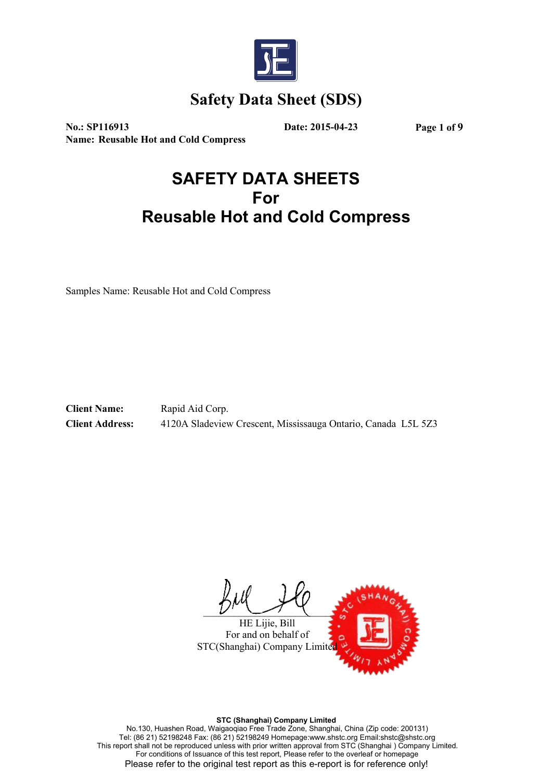

**No.: SP116913 Date: 2015-04-23 Page 1 of 9 Name: Reusable Hot and Cold Compress**

# **SAFETY DATA SHEETS For Reusable Hot and Cold Compress**

Samples Name: Reusable Hot and Cold Compress

**Client Name:** Rapid Aid Corp. **Client Address:** 4120A Sladeview Crescent, Mississauga Ontario, Canada L5L 5Z3

 $\mathcal{L}$  , we can define the contract of  $\mathcal{L}$ 

HE Lijie, Bill For and on behalf of STC(Shanghai) Company Limite

**STC (Shanghai) Company Limited**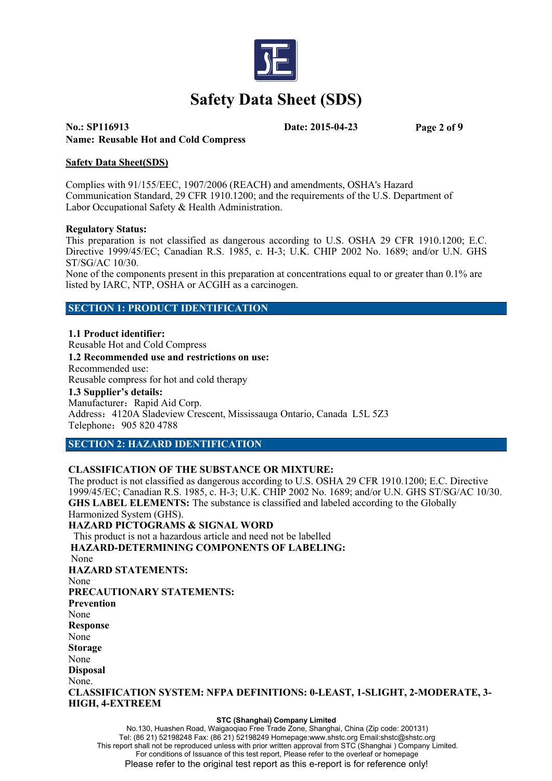

# **No.: SP116913 Date: 2015-04-23 Page 2 of 9 Name: Reusable Hot and Cold Compress**

### **Safety Data Sheet(SDS)**

Complies with 91/155/EEC, 1907/2006 (REACH) and amendments, OSHA's Hazard Communication Standard, 29 CFR 1910.1200; and the requirements of the U.S. Department of Labor Occupational Safety & Health Administration.

### **Regulatory Status:**

This preparation is not classified as dangerous according to U.S. OSHA 29 CFR 1910.1200; E.C. Directive 1999/45/EC; Canadian R.S. 1985, c. H-3; U.K. CHIP 2002 No. 1689; and/or U.N. GHS ST/SG/AC 10/30.

None of the components present in this preparation at concentrations equal to or greater than 0.1% are listed by IARC, NTP, OSHA or ACGIH as a carcinogen.

### **SECTION 1: PRODUCT IDENTIFICATION**

**1.1 Product identifier:** Reusable Hot and Cold Compress **1.2 Recommended use and restrictions on use:** Recommended use: Reusable compress for hot and cold therapy **1.3 Supplier's details:** Manufacturer: Rapid Aid Corp. Address:4120A Sladeview Crescent, Mississauga Ontario, Canada L5L 5Z3 Telephone: 905 820 4788

### **SECTION 2: HAZARD IDENTIFICATION**

### **CLASSIFICATION OF THE SUBSTANCE OR MIXTURE:**

The product is not classified as dangerous according to U.S. OSHA 29 CFR 1910.1200; E.C. Directive 1999/45/EC; Canadian R.S. 1985, c. H-3; U.K. CHIP 2002 No. 1689; and/or U.N. GHS ST/SG/AC 10/30. **GHS LABEL ELEMENTS:** The substance is classified and labeled according to the Globally Harmonized System (GHS). **HAZARD PICTOGRAMS & SIGNAL WORD** This product is not a hazardous article and need not be labelled **HAZARD-DETERMINING COMPONENTS OF LABELING:** None **HAZARD STATEMENTS:** None **PRECAUTIONARY STATEMENTS: Prevention** None **Response** None **Storage** None **Disposal** None. **CLASSIFICATION SYSTEM: NFPA DEFINITIONS: 0-LEAST, 1-SLIGHT, 2-MODERATE, 3- HIGH, 4-EXTREEM**

#### **STC (Shanghai) Company Limited**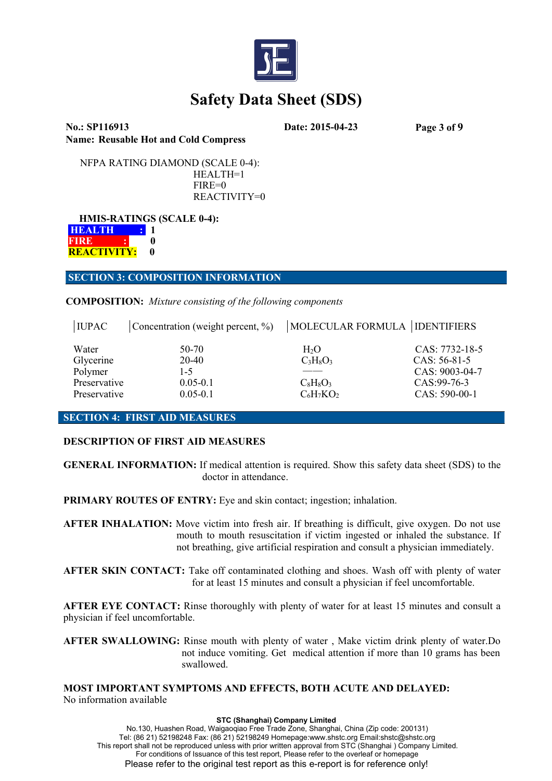

**No.: SP116913 Date: 2015-04-23 Page 3 of 9 Name: Reusable Hot and Cold Compress**

NFPA RATING DIAMOND (SCALE 0-4): HEALTH=1 FIRE=0 REACTIVITY=0

**HMIS-RATINGS (SCALE 0-4): HEALTH : 1 FIRE : : 0 REACTIVITY: 0**

**SECTION 3: COMPOSITION INFORMATION**

**COMPOSITION:** *Mixture consisting of the following components*

| <b>IUPAC</b>                                  | Concentration (weight percent, $\%$ ) | MOLECULAR FORMULA   IDENTIFIERS      |                                                                     |
|-----------------------------------------------|---------------------------------------|--------------------------------------|---------------------------------------------------------------------|
| Water<br>Glycerine<br>Polymer<br>Preservative | 50-70<br>20-40<br>1-5<br>$0.05 - 0.1$ | $H_2O$<br>$C_3H_8O_3$<br>$C_8H_8O_3$ | CAS: 7732-18-5<br>$CAS: 56-81-5$<br>CAS: 9003-04-7<br>$CAS:99-76-3$ |
| Preservative                                  | $0.05 - 0.1$                          | $C_6H_7KO_2$                         | $CAS: 590-00-1$                                                     |

### **SECTION 4: FIRST AID MEASURES**

# **DESCRIPTION OF FIRST AID MEASURES**

**GENERAL INFORMATION:** If medical attention is required. Show this safety data sheet (SDS) to the doctor in attendance.

**PRIMARY ROUTES OF ENTRY:** Eye and skin contact; ingestion; inhalation.

**AFTER INHALATION:** Move victim into fresh air. If breathing is difficult, give oxygen. Do not use mouth to mouth resuscitation if victim ingested or inhaled the substance. If not breathing, give artificial respiration and consult a physician immediately.

**AFTER SKIN CONTACT:** Take off contaminated clothing and shoes. Wash off with plenty of water for at least 15 minutes and consult a physician if feel uncomfortable.

**AFTER EYE CONTACT:** Rinse thoroughly with plenty of water for at least 15 minutes and consult a physician if feel uncomfortable.

**AFTER SWALLOWING:** Rinse mouth with plenty of water , Make victim drink plenty of water.Do not induce vomiting. Get medical attention if more than 10 grams has been swallowed.

**MOST IMPORTANT SYMPTOMS AND EFFECTS, BOTH ACUTE AND DELAYED:** No information available

#### **STC (Shanghai) Company Limited**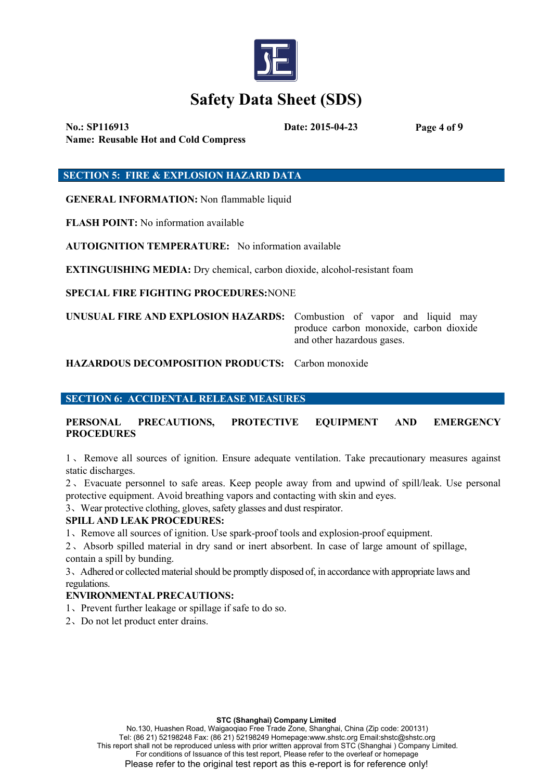

**No.: SP116913 Date: 2015-04-23 Page 4 of 9 Name: Reusable Hot and Cold Compress**

**SECTION 5: FIRE & EXPLOSION HAZARD DATA**

**GENERAL INFORMATION:** Non flammable liquid

**FLASH POINT:** No information available

**AUTOIGNITION TEMPERATURE:** No information available

**EXTINGUISHING MEDIA:** Dry chemical, carbon dioxide, alcohol-resistant foam

**SPECIAL FIRE FIGHTING PROCEDURES:**NONE

**UNUSUAL FIRE AND EXPLOSION HAZARDS:** Combustion of vapor and liquid may produce carbon monoxide, carbon dioxide and other hazardous gases.

**HAZARDOUS DECOMPOSITION PRODUCTS:** Carbon monoxide

**SECTION 6: ACCIDENTAL RELEASE MEASURES**

**PERSONAL PRECAUTIONS, PROTECTIVE EQUIPMENT AND EMERGENCY PROCEDURES**

1、Remove all sources of ignition. Ensure adequate ventilation. Take precautionary measures against static discharges.

2、Evacuate personnel to safe areas.Keep people away from and upwindof spill/leak. Use personal protective equipment. Avoid breathing vapors and contacting with skin and eyes.

3、Wear protective clothing, gloves, safety glasses and dust respirator.

# **SPILL AND LEAK PROCEDURES:**

1、Remove all sources ofignition. Use spark-proof tools and explosion-proof equipment.

2、Absorb spilled material in dry sand or inert absorbent. In case of large amount of spillage, contain a spill by bunding.

3. Adhered or collected material should be promptly disposed of, in accordance with appropriate laws and regulations.

# **ENVIRONMENTAL PRECAUTIONS:**

- 1、Prevent further leakage or spillage if safe to do so.
- 2、Do not let product enter drains.

#### **STC (Shanghai) Company Limited**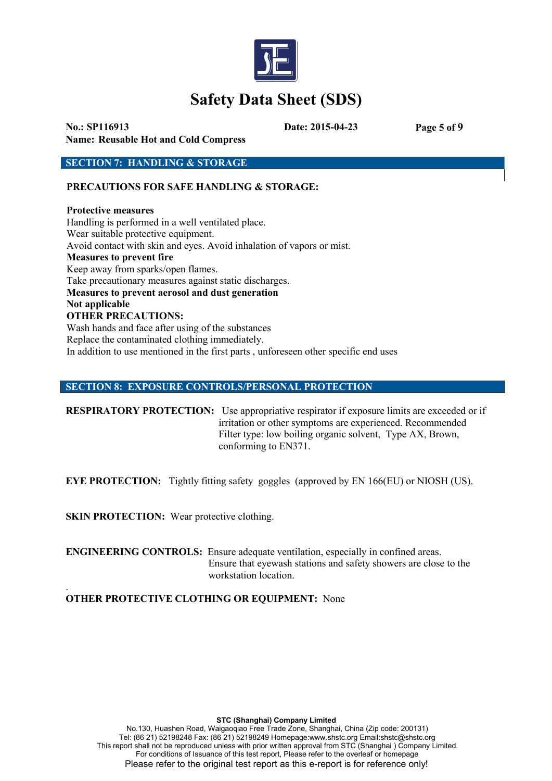

**No.: SP116913 Date: 2015-04-23 Page 5 of 9 Name: Reusable Hot and Cold Compress**

**SECTION 7: HANDLING & STORAGE**

**PRECAUTIONS FOR SAFE HANDLING & STORAGE:**

**Protective measures** Handling is performed in a well ventilated place. Wear suitable protective equipment. Avoid contact with skin and eyes. Avoid inhalation of vapors or mist. **Measures to prevent fire** Keep away from sparks/open flames. Take precautionary measures against static discharges. **Measures to prevent aerosol and dust generation Not applicable OTHER PRECAUTIONS:** Wash hands and face after using of the substances Replace the contaminated clothing immediately. In addition to use mentioned in the first parts , unforeseen other specific end uses

## **SECTION 8: EXPOSURE CONTROLS/PERSONAL PROTECTION**

**RESPIRATORY PROTECTION:** Use appropriative respirator if exposure limits are exceeded or if irritation or other symptoms are experienced. Recommended Filter type: low boiling organic solvent. Type AX, Brown, conforming to EN371.

**EYE PROTECTION:** Tightly fitting safety goggles (approved by EN 166(EU) or NIOSH (US).

**SKIN PROTECTION:** Wear protective clothing.

**ENGINEERING CONTROLS:** Ensure adequate ventilation, especially in confined areas. Ensure that eyewash stations and safety showers are close to the workstation location.

#### .**OTHER PROTECTIVE CLOTHING OR EQUIPMENT:** None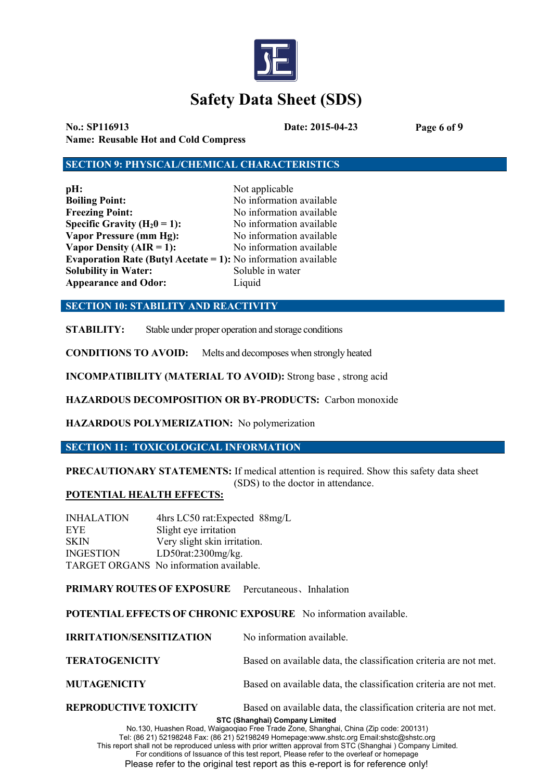

**No.: SP116913 Date: 2015-04-23 Page 6 of 9 Name: Reusable Hot and Cold Compress**

### **SECTION 9: PHYSICAL/CHEMICAL CHARACTERISTICS**

| pH:                                                                   | Not applicable           |  |  |
|-----------------------------------------------------------------------|--------------------------|--|--|
| <b>Boiling Point:</b>                                                 | No information available |  |  |
| <b>Freezing Point:</b>                                                | No information available |  |  |
| Specific Gravity ( $H_20 = 1$ ):                                      | No information available |  |  |
| <b>Vapor Pressure (mm Hg):</b>                                        | No information available |  |  |
| Vapor Density $(AIR = 1)$ :                                           | No information available |  |  |
| <b>Evaporation Rate (Butyl Acetate = 1):</b> No information available |                          |  |  |
| <b>Solubility in Water:</b>                                           | Soluble in water         |  |  |
| <b>Appearance and Odor:</b>                                           | Liquid                   |  |  |

**SECTION 10: STABILITY AND REACTIVITY**

**STABILITY:** Stable under proper operation and storage conditions

**CONDITIONS TO AVOID:** Meltsand decomposes when strongly heated

**INCOMPATIBILITY (MATERIAL TO AVOID):** Strong base , strong acid

**HAZARDOUS DECOMPOSITION OR BY-PRODUCTS:** Carbon monoxide

**HAZARDOUS POLYMERIZATION:** No polymerization

**SECTION 11: TOXICOLOGICAL INFORMATION**

**PRECAUTIONARY STATEMENTS:**If medical attention is required.Show this safety data sheet (SDS) to the doctor in attendance.

### **POTENTIAL HEALTH EFFECTS:**

INHALATION 4hrs LC50 rat:Expected 88mg/L EYE Slight eye irritation SKIN Very slight skin irritation. INGESTION LD50rat:2300mg/kg. TARGET ORGANS No information available.

**PRIMARY ROUTES OF EXPOSURE** Percutaneous、Inhalation

**POTENTIAL EFFECTS OF CHRONIC EXPOSURE** No information available.

| <b>IRRITATION/SENSITIZATION</b> | No information available.                                         |
|---------------------------------|-------------------------------------------------------------------|
| <b>TERATOGENICITY</b>           | Based on available data, the classification criteria are not met. |
| <b>MUTAGENICITY</b>             | Based on available data, the classification criteria are not met. |

**STC (Shanghai) Company Limited REPRODUCTIVE TOXICITY** Based on available data, the classification criteria are not met.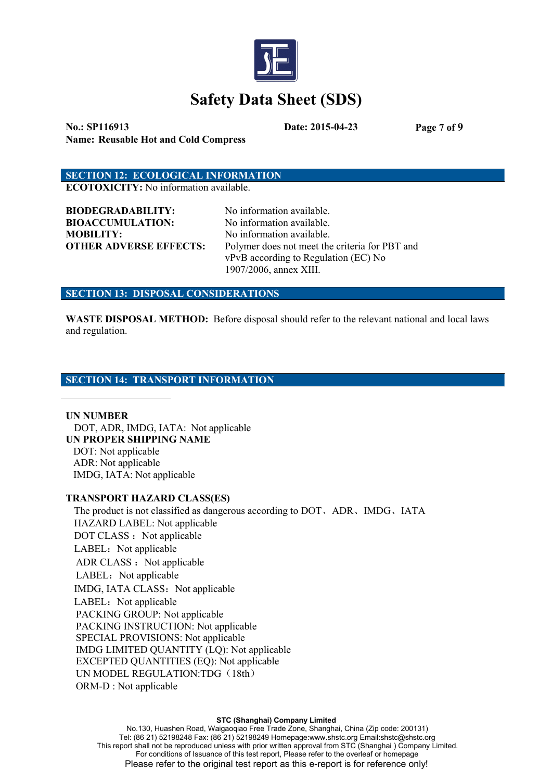

**No.: SP116913 Date: 2015-04-23 Page 7 of 9 Name: Reusable Hot and Cold Compress**

# **SECTION 12: ECOLOGICAL INFORMATION**

**ECOTOXICITY:** No information available.

**BIODEGRADABILITY:** No information available. **BIOACCUMULATION:** No information available. **MOBILITY:** No information available.

**OTHER ADVERSE EFFECTS:** Polymer does not meet the criteria for PBT and vPvB according to Regulation (EC) No 1907/2006, annex XIII.

#### **SECTION 13: DISPOSAL CONSIDERATIONS**

**WASTE DISPOSAL METHOD:** Before disposal should refer to the relevant national and local laws and regulation.

### **SECTION 14: TRANSPORT INFORMATION**

**UN NUMBER** DOT, ADR, IMDG, IATA: Not applicable **UN PROPER SHIPPING NAME** DOT: Not applicable

ADR: Not applicable IMDG, IATA: Not applicable

### **TRANSPORT HAZARD CLASS(ES)**

The product is not classified as dangerous according to DOT、ADR、IMDG、IATA HAZARD LABEL: Not applicable DOT CLASS : Not applicable LABEL: Not applicable ADR CLASS : Not applicable LABEL: Not applicable IMDG, IATA CLASS: Not applicable LABEL: Not applicable PACKING GROUP: Not applicable PACKING INSTRUCTION: Not applicable SPECIAL PROVISIONS: Not applicable IMDG LIMITED QUANTITY (LQ): Not applicable EXCEPTED QUANTITIES (EQ): Not applicable UN MODEL REGULATION:TDG (18th) ORM-D : Not applicable

#### **STC (Shanghai) Company Limited**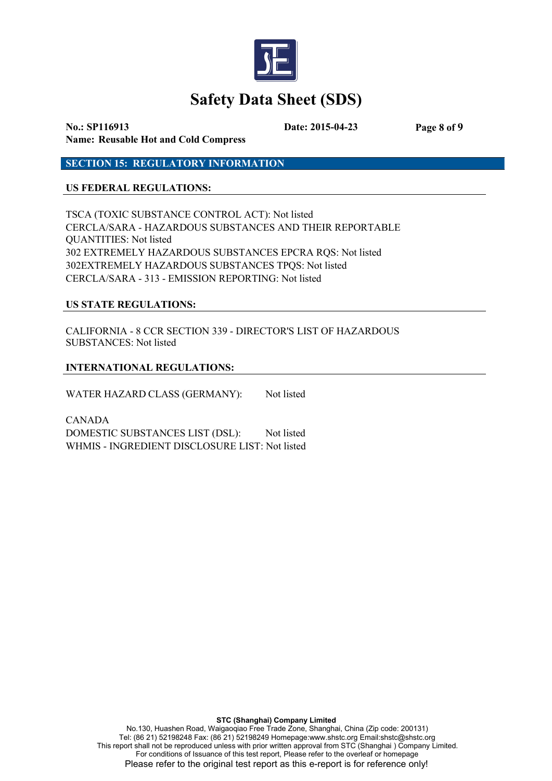

**No.: SP116913 Date: 2015-04-23 Page 8 of 9 Name: Reusable Hot and Cold Compress**

**SECTION 15: REGULATORY INFORMATION**

## **US FEDERAL REGULATIONS:**

TSCA (TOXIC SUBSTANCE CONTROL ACT): Not listed CERCLA/SARA - HAZARDOUS SUBSTANCES AND THEIR REPORTABLE QUANTITIES: Not listed 302 EXTREMELY HAZARDOUS SUBSTANCES EPCRA RQS: Not listed 302EXTREMELY HAZARDOUS SUBSTANCES TPQS: Not listed CERCLA/SARA - 313 - EMISSION REPORTING: Not listed

### **US STATE REGULATIONS:**

CALIFORNIA - 8 CCR SECTION 339 - DIRECTOR'S LIST OF HAZARDOUS SUBSTANCES: Not listed

## **INTERNATIONAL REGULATIONS:**

WATER HAZARD CLASS (GERMANY): Not listed

CANADA DOMESTIC SUBSTANCES LIST (DSL): Not listed WHMIS - INGREDIENT DISCLOSURE LIST: Not listed